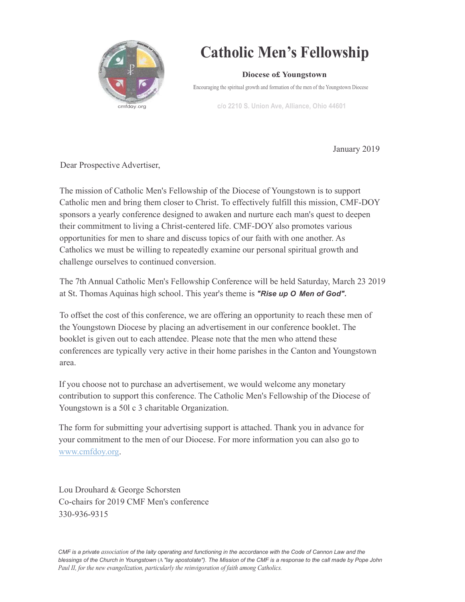

## Catholic Men's Fellowship

Diocese o£ Youngstown

Encouraging the spiritual growth and formation of the men of the Youngstown Diocese

c/o 2210 S. Union Ave, Alliance, Ohio 44601

January 2019

Dear Prospective Advertiser,

The mission of Catholic Men's Fellowship of the Diocese of Youngstown is to support Catholic men and bring them closer to Christ. To effectively fulfill this mission, CMF-DOY sponsors a yearly conference designed to awaken and nurture each man's quest to deepen their commitment to living a Christ-centered life. CMF-DOY also promotes various opportunities for men to share and discuss topics of our faith with one another. As Catholics we must be willing to repeatedly examine our personal spiritual growth and challenge ourselves to continued conversion.

The 7th Annual Catholic Men's Fellowship Conference will be held Saturday, March 23 2019 at St. Thomas Aquinas high school. This year's theme is "Rise up O Men of God".

To offset the cost of this conference, we are offering an opportunity to reach these men of the Youngstown Diocese by placing an advertisement in our conference booklet. The booklet is given out to each attendee. Please note that the men who attend these conferences are typically very active in their home parishes in the Canton and Youngstown area.

If you choose not to purchase an advertisement, we would welcome any monetary contribution to support this conference. The Catholic Men's Fellowship of the Diocese of Youngstown is a 50l c 3 charitable Organization.

The form for submitting your advertising support is attached. Thank you in advance for your commitment to the men of our Diocese. For more information you can also go to www.cmfdoy.org.

Lou Drouhard & George Schorsten Co-chairs for 2019 CMF Men's conference 330-936-9315